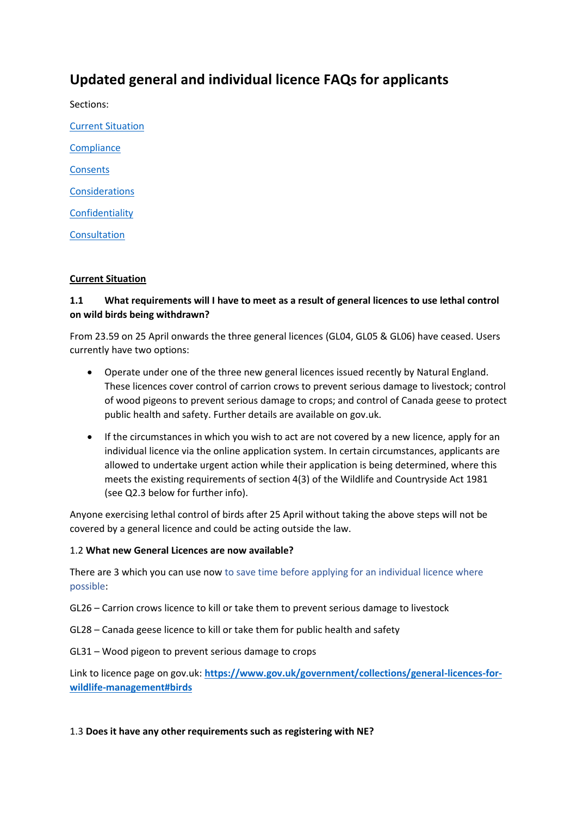# **Updated general and individual licence FAQs for applicants**

Sections:

[Current Situation](#page-0-0) **[Compliance](#page-2-0) [Consents](#page-3-0) [Considerations](#page-4-0) [Confidentiality](#page-5-0) [Consultation](#page-5-1)** 

### <span id="page-0-0"></span>**Current Situation**

# **1.1 What requirements will I have to meet as a result of general licences to use lethal control on wild birds being withdrawn?**

From 23.59 on 25 April onwards the three general licences (GL04, GL05 & GL06) have ceased. Users currently have two options:

- Operate under one of the three new general licences issued recently by Natural England. These licences cover control of carrion crows to prevent serious damage to livestock; control of wood pigeons to prevent serious damage to crops; and control of Canada geese to protect public health and safety. Further details are available on gov.uk.
- If the circumstances in which you wish to act are not covered by a new licence, apply for an individual licence via the online application system. In certain circumstances, applicants are allowed to undertake urgent action while their application is being determined, where this meets the existing requirements of section 4(3) of the Wildlife and Countryside Act 1981 (see Q2.3 below for further info).

Anyone exercising lethal control of birds after 25 April without taking the above steps will not be covered by a general licence and could be acting outside the law.

### 1.2 **What new General Licences are now available?**

There are 3 which you can use now to save time before applying for an individual licence where possible:

GL26 – Carrion crows licence to kill or take them to prevent serious damage to livestock

GL28 – Canada geese licence to kill or take them for public health and safety

GL31 – Wood pigeon to prevent serious damage to crops

Link to licence page on gov.uk: **[https://www.gov.uk/government/collections/general-licences-for](https://www.gov.uk/government/collections/general-licences-for-wildlife-management#birds)[wildlife-management#birds](https://www.gov.uk/government/collections/general-licences-for-wildlife-management#birds)**

### 1.3 **Does it have any other requirements such as registering with NE?**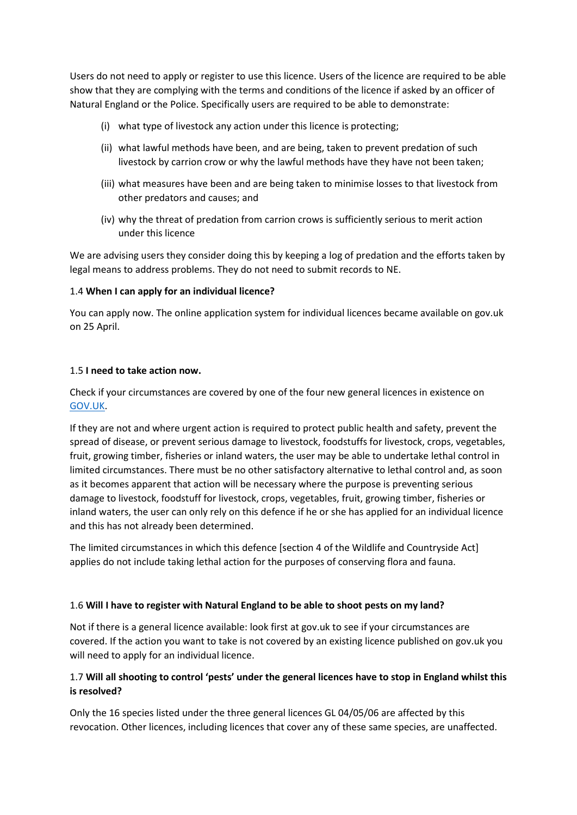Users do not need to apply or register to use this licence. Users of the licence are required to be able show that they are complying with the terms and conditions of the licence if asked by an officer of Natural England or the Police. Specifically users are required to be able to demonstrate:

- (i) what type of livestock any action under this licence is protecting;
- (ii) what lawful methods have been, and are being, taken to prevent predation of such livestock by carrion crow or why the lawful methods have they have not been taken;
- (iii) what measures have been and are being taken to minimise losses to that livestock from other predators and causes; and
- (iv) why the threat of predation from carrion crows is sufficiently serious to merit action under this licence

We are advising users they consider doing this by keeping a log of predation and the efforts taken by legal means to address problems. They do not need to submit records to NE.

### 1.4 **When I can apply for an individual licence?**

You can apply now. The online application system for individual licences became available on gov.uk on 25 April.

#### 1.5 **I need to take action now.**

Check if your circumstances are covered by one of the four new general licences in existence on [GOV.UK.](https://www.gov.uk/government/publications/wild-birds-licence-to-control-certain-species)

If they are not and where urgent action is required to protect public health and safety, prevent the spread of disease, or prevent serious damage to livestock, foodstuffs for livestock, crops, vegetables, fruit, growing timber, fisheries or inland waters, the user may be able to undertake lethal control in limited circumstances. There must be no other satisfactory alternative to lethal control and, as soon as it becomes apparent that action will be necessary where the purpose is preventing serious damage to livestock, foodstuff for livestock, crops, vegetables, fruit, growing timber, fisheries or inland waters, the user can only rely on this defence if he or she has applied for an individual licence and this has not already been determined.

The limited circumstances in which this defence [section 4 of the Wildlife and Countryside Act] applies do not include taking lethal action for the purposes of conserving flora and fauna.

#### 1.6 **Will I have to register with Natural England to be able to shoot pests on my land?**

Not if there is a general licence available: look first at gov.uk to see if your circumstances are covered. If the action you want to take is not covered by an existing licence published on gov.uk you will need to apply for an individual licence.

### 1.7 **Will all shooting to control 'pests' under the general licences have to stop in England whilst this is resolved?**

Only the 16 species listed under the three general licences GL 04/05/06 are affected by this revocation. Other licences, including licences that cover any of these same species, are unaffected.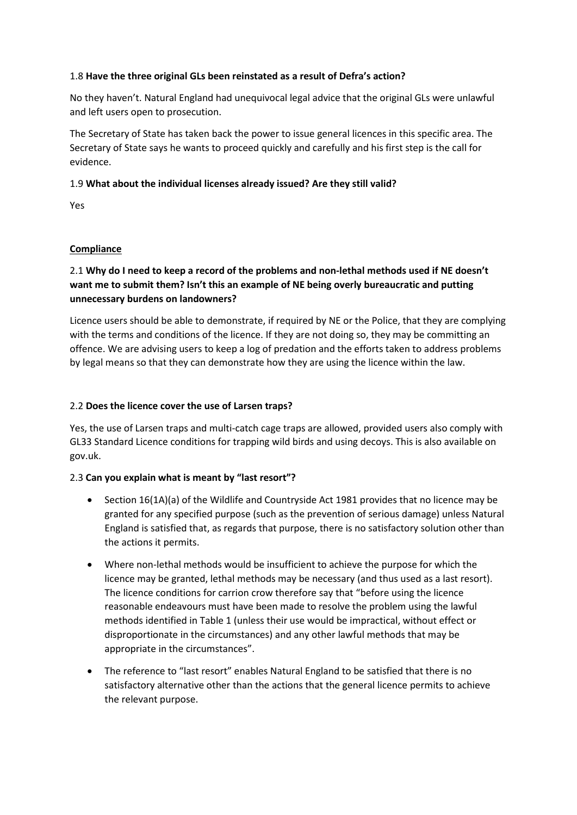### 1.8 **Have the three original GLs been reinstated as a result of Defra's action?**

No they haven't. Natural England had unequivocal legal advice that the original GLs were unlawful and left users open to prosecution.

The Secretary of State has taken back the power to issue general licences in this specific area. The Secretary of State says he wants to proceed quickly and carefully and his first step is the call for evidence.

### 1.9 **What about the individual licenses already issued? Are they still valid?**

Yes

### <span id="page-2-0"></span>**Compliance**

# 2.1 **Why do I need to keep a record of the problems and non-lethal methods used if NE doesn't want me to submit them? Isn't this an example of NE being overly bureaucratic and putting unnecessary burdens on landowners?**

Licence users should be able to demonstrate, if required by NE or the Police, that they are complying with the terms and conditions of the licence. If they are not doing so, they may be committing an offence. We are advising users to keep a log of predation and the efforts taken to address problems by legal means so that they can demonstrate how they are using the licence within the law.

### 2.2 **Does the licence cover the use of Larsen traps?**

Yes, the use of Larsen traps and multi-catch cage traps are allowed, provided users also comply with GL33 Standard Licence conditions for trapping wild birds and using decoys. This is also available on gov.uk.

#### 2.3 **Can you explain what is meant by "last resort"?**

- Section 16(1A)(a) of the Wildlife and Countryside Act 1981 provides that no licence may be granted for any specified purpose (such as the prevention of serious damage) unless Natural England is satisfied that, as regards that purpose, there is no satisfactory solution other than the actions it permits.
- Where non-lethal methods would be insufficient to achieve the purpose for which the licence may be granted, lethal methods may be necessary (and thus used as a last resort). The licence conditions for carrion crow therefore say that "before using the licence reasonable endeavours must have been made to resolve the problem using the lawful methods identified in Table 1 (unless their use would be impractical, without effect or disproportionate in the circumstances) and any other lawful methods that may be appropriate in the circumstances".
- The reference to "last resort" enables Natural England to be satisfied that there is no satisfactory alternative other than the actions that the general licence permits to achieve the relevant purpose.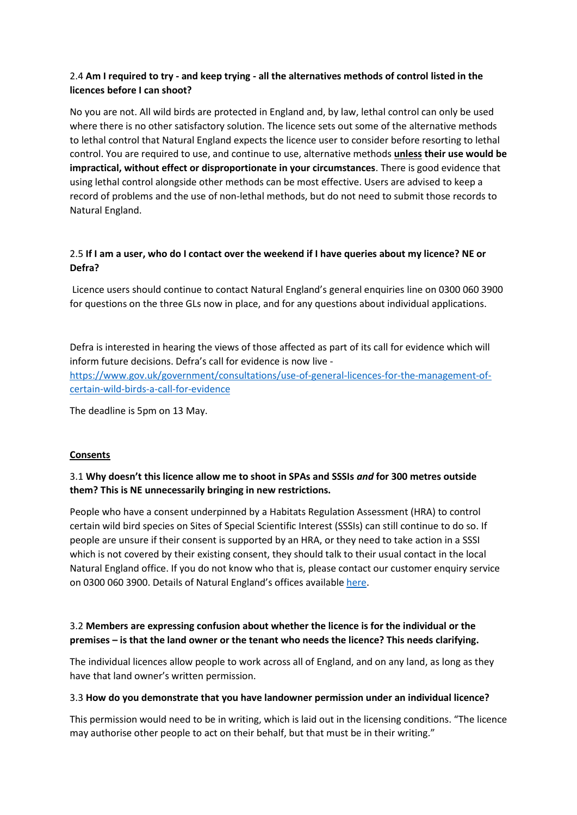# 2.4 **Am I required to try - and keep trying - all the alternatives methods of control listed in the licences before I can shoot?**

No you are not. All wild birds are protected in England and, by law, lethal control can only be used where there is no other satisfactory solution. The licence sets out some of the alternative methods to lethal control that Natural England expects the licence user to consider before resorting to lethal control. You are required to use, and continue to use, alternative methods **unless their use would be impractical, without effect or disproportionate in your circumstances**. There is good evidence that using lethal control alongside other methods can be most effective. Users are advised to keep a record of problems and the use of non-lethal methods, but do not need to submit those records to Natural England.

# 2.5 **If I am a user, who do I contact over the weekend if I have queries about my licence? NE or Defra?**

Licence users should continue to contact Natural England's general enquiries line on 0300 060 3900 for questions on the three GLs now in place, and for any questions about individual applications.

Defra is interested in hearing the views of those affected as part of its call for evidence which will inform future decisions. Defra's call for evidence is now live [https://www.gov.uk/government/consultations/use-of-general-licences-for-the-management-of](https://www.gov.uk/government/consultations/use-of-general-licences-for-the-management-of-certain-wild-birds-a-call-for-evidence)[certain-wild-birds-a-call-for-evidence](https://www.gov.uk/government/consultations/use-of-general-licences-for-the-management-of-certain-wild-birds-a-call-for-evidence)

The deadline is 5pm on 13 May.

### <span id="page-3-0"></span>**Consents**

# 3.1 **Why doesn't this licence allow me to shoot in SPAs and SSSIs** *and* **for 300 metres outside them? This is NE unnecessarily bringing in new restrictions.**

People who have a consent underpinned by a Habitats Regulation Assessment (HRA) to control certain wild bird species on Sites of Special Scientific Interest (SSSIs) can still continue to do so. If people are unsure if their consent is supported by an HRA, or they need to take action in a SSSI which is not covered by their existing consent, they should talk to their usual contact in the local Natural England office. If you do not know who that is, please contact our customer enquiry service on 0300 060 3900. Details of Natural England's offices available [here.](https://www.gov.uk/government/organisations/natural-england/about/access-and-opening)

# 3.2 **Members are expressing confusion about whether the licence is for the individual or the premises – is that the land owner or the tenant who needs the licence? This needs clarifying.**

The individual licences allow people to work across all of England, and on any land, as long as they have that land owner's written permission.

#### 3.3 **How do you demonstrate that you have landowner permission under an individual licence?**

This permission would need to be in writing, which is laid out in the licensing conditions. "The licence may authorise other people to act on their behalf, but that must be in their writing."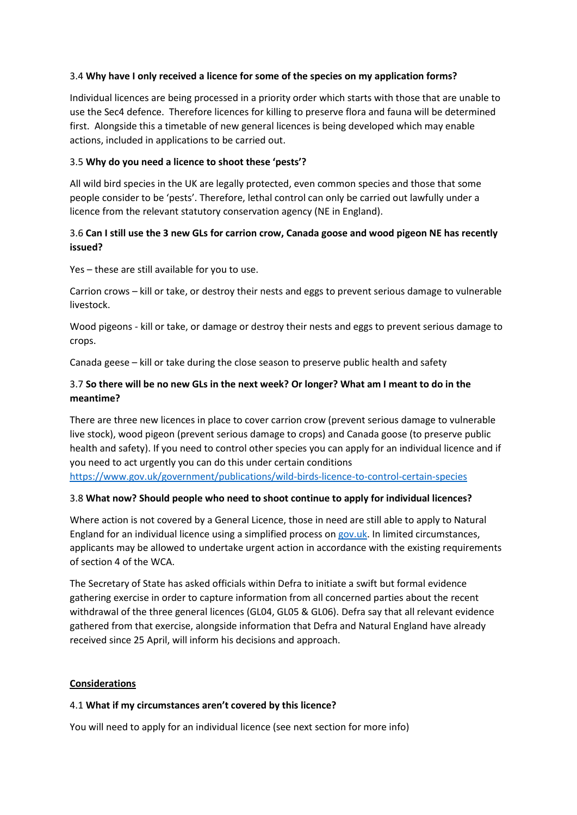### 3.4 **Why have I only received a licence for some of the species on my application forms?**

Individual licences are being processed in a priority order which starts with those that are unable to use the Sec4 defence. Therefore licences for killing to preserve flora and fauna will be determined first. Alongside this a timetable of new general licences is being developed which may enable actions, included in applications to be carried out.

### 3.5 **Why do you need a licence to shoot these 'pests'?**

All wild bird species in the UK are legally protected, even common species and those that some people consider to be 'pests'. Therefore, lethal control can only be carried out lawfully under a licence from the relevant statutory conservation agency (NE in England).

### 3.6 **Can I still use the 3 new GLs for carrion crow, Canada goose and wood pigeon NE has recently issued?**

Yes – these are still available for you to use.

Carrion crows – kill or take, or destroy their nests and eggs to prevent serious damage to vulnerable livestock.

Wood pigeons - kill or take, or damage or destroy their nests and eggs to prevent serious damage to crops.

Canada geese – kill or take during the close season to preserve public health and safety

### 3.7 **So there will be no new GLs in the next week? Or longer? What am I meant to do in the meantime?**

There are three new licences in place to cover carrion crow (prevent serious damage to vulnerable live stock), wood pigeon (prevent serious damage to crops) and Canada goose (to preserve public health and safety). If you need to control other species you can apply for an individual licence and if you need to act urgently you can do this under certain conditions <https://www.gov.uk/government/publications/wild-birds-licence-to-control-certain-species>

#### 3.8 **What now? Should people who need to shoot continue to apply for individual licences?**

Where action is not covered by a General Licence, those in need are still able to apply to Natural England for an individual licence using a simplified process on [gov.uk.](http://gov.uk/) In limited circumstances, applicants may be allowed to undertake urgent action in accordance with the existing requirements of section 4 of the WCA.

The Secretary of State has asked officials within Defra to initiate a swift but formal evidence gathering exercise in order to capture information from all concerned parties about the recent withdrawal of the three general licences (GL04, GL05 & GL06). Defra say that all relevant evidence gathered from that exercise, alongside information that Defra and Natural England have already received since 25 April, will inform his decisions and approach.

#### <span id="page-4-0"></span>**Considerations**

#### 4.1 **What if my circumstances aren't covered by this licence?**

You will need to apply for an individual licence (see next section for more info)